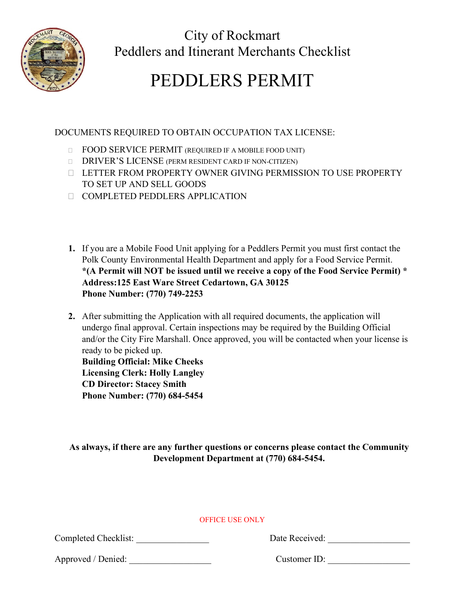

City of Rockmart Peddlers and Itinerant Merchants Checklist

# PEDDLERS PERMIT

# DOCUMENTS REQUIRED TO OBTAIN OCCUPATION TAX LICENSE:

- **FOOD SERVICE PERMIT (REQUIRED IF A MOBILE FOOD UNIT)**
- DRIVER'S LICENSE (PERM RESIDENT CARD IF NON-CITIZEN)
- LETTER FROM PROPERTY OWNER GIVING PERMISSION TO USE PROPERTY TO SET UP AND SELL GOODS
- COMPLETED PEDDLERS APPLICATION
- **1.** If you are a Mobile Food Unit applying for a Peddlers Permit you must first contact the Polk County Environmental Health Department and apply for a Food Service Permit. **\*(A Permit will NOT be issued until we receive a copy of the Food Service Permit) \* Address:125 East Ware Street Cedartown, GA 30125 Phone Number: (770) 749-2253**
- **2.** After submitting the Application with all required documents, the application will undergo final approval. Certain inspections may be required by the Building Official and/or the City Fire Marshall. Once approved, you will be contacted when your license is ready to be picked up.

**Building Official: Mike Cheeks Licensing Clerk: Holly Langley CD Director: Stacey Smith Phone Number: (770) 684-5454**

**As always, if there are any further questions or concerns please contact the Community Development Department at (770) 684-5454.**

# OFFICE USE ONLY

Completed Checklist:

Approved / Denied: <br>
Customer ID: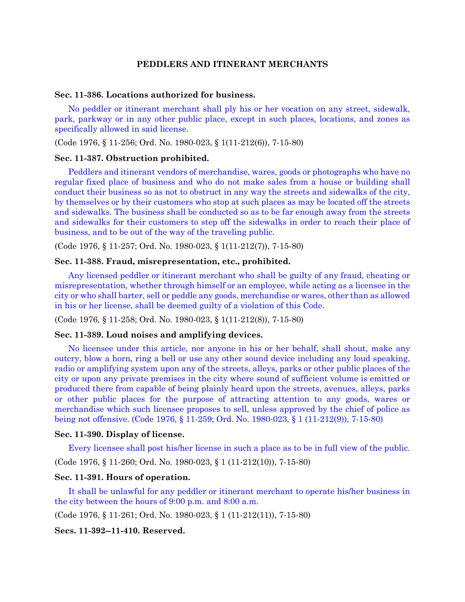## **PEDDLERS AND ITINERANT MERCHANTS**

#### **Sec. 11-386. Locations authorized for business.**

No peddler or itinerant merchant shall ply his or her vocation on any street, sidewalk, park, parkway or in any other public place, except in such places, locations, and zones as specifically allowed in said license.

(Code 1976, § 11-256; Ord. No. 1980-023, § 1(11-212(6)), 7-15-80)

#### **Sec. 11-387. Obstruction prohibited.**

Peddlers and itinerant vendors of merchandise, wares, goods or photographs who have no regular fixed place of business and who do not make sales from a house or building shall conduct their business so as not to obstruct in any way the streets and sidewalks of the city, by themselves or by their customers who stop at such places as may be located off the streets and sidewalks. The business shall be conducted so as to be far enough away from the streets and sidewalks for their customers to step off the sidewalks in order to reach their place of business, and to be out of the way of the traveling public.

(Code 1976, § 11-257; Ord. No. 1980-023, § 1(11-212(7)), 7-15-80)

## **Sec. 11-388. Fraud, misrepresentation, etc., prohibited.**

Any licensed peddler or itinerant merchant who shall be guilty of any fraud, cheating or misrepresentation, whether through himself or an employee, while acting as a licensee in the city or who shall barter, sell or peddle any goods, merchandise or wares, other than as allowed in his or her license, shall be deemed guilty of a violation of this Code.

(Code 1976, § 11-258; Ord. No. 1980-023, § 1(11-212(8)), 7-15-80)

#### **Sec. 11-389. Loud noises and amplifying devices.**

No licensee under this article, nor anyone in his or her behalf, shall shout, make any outcry, blow a horn, ring a bell or use any other sound device including any loud speaking, radio or amplifying system upon any of the streets, alleys, parks or other public places of the city or upon any private premises in the city where sound of sufficient volume is emitted or produced there from capable of being plainly heard upon the streets, avenues, alleys, parks or other public places for the purpose of attracting attention to any goods, wares or merchandise which such licensee proposes to sell, unless approved by the chief of police as being not offensive. (Code 1976, § 11-259; Ord. No. 1980-023, § 1 (11-212(9)), 7-15-80)

#### **Sec. 11-390. Display of license.**

Every licensee shall post his/her license in such a place as to be in full view of the public.

(Code 1976, § 11-260; Ord. No. 1980-023, § 1 (11-212(10)), 7-15-80)

## **Sec. 11-391. Hours of operation.**

It shall be unlawful for any peddler or itinerant merchant to operate his/her business in the city between the hours of 9:00 p.m. and 8:00 a.m.

(Code 1976, § 11-261; Ord. No. 1980-023, § 1 (11-212(11)), 7-15-80)

**Secs. 11-392--11-410. Reserved.**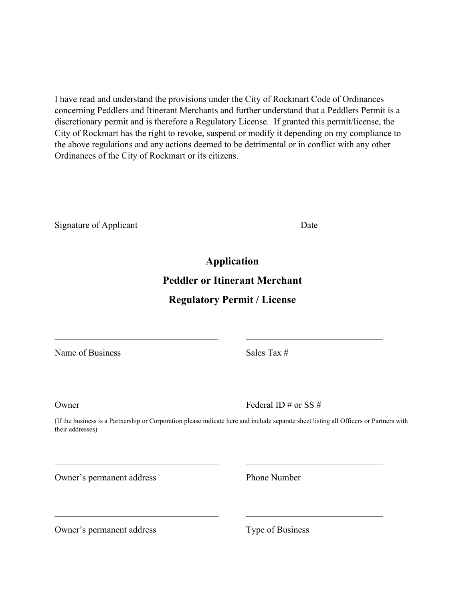I have read and understand the provisions under the City of Rockmart Code of Ordinances concerning Peddlers and Itinerant Merchants and further understand that a Peddlers Permit is a discretionary permit and is therefore a Regulatory License. If granted this permit/license, the City of Rockmart has the right to revoke, suspend or modify it depending on my compliance to the above regulations and any actions deemed to be detrimental or in conflict with any other Ordinances of the City of Rockmart or its citizens.

| Signature of Applicant    | Date                                                                                                                                   |
|---------------------------|----------------------------------------------------------------------------------------------------------------------------------------|
|                           | <b>Application</b>                                                                                                                     |
|                           | <b>Peddler or Itinerant Merchant</b>                                                                                                   |
|                           | <b>Regulatory Permit / License</b>                                                                                                     |
|                           |                                                                                                                                        |
| Name of Business          | Sales Tax #                                                                                                                            |
| Owner                     | Federal ID # or SS #                                                                                                                   |
| their addresses)          | (If the business is a Partnership or Corporation please indicate here and include separate sheet listing all Officers or Partners with |
| Owner's permanent address | Phone Number                                                                                                                           |
|                           |                                                                                                                                        |

Owner's permanent address Type of Business